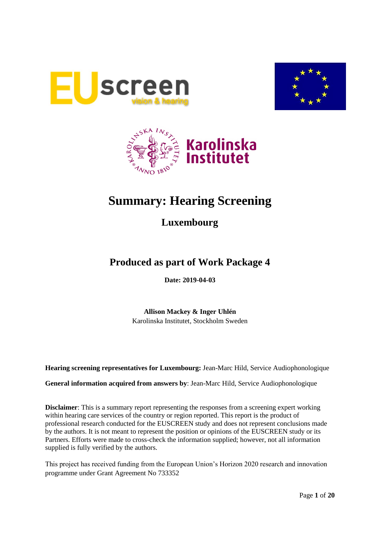





# **Summary: Hearing Screening**

## **Luxembourg**

## **Produced as part of Work Package 4**

**Date: 2019-04-03**

**Allison Mackey & Inger Uhlén** Karolinska Institutet, Stockholm Sweden

**Hearing screening representatives for Luxembourg:** Jean-Marc Hild, Service Audiophonologique

**General information acquired from answers by**: Jean-Marc Hild, Service Audiophonologique

**Disclaimer**: This is a summary report representing the responses from a screening expert working within hearing care services of the country or region reported. This report is the product of professional research conducted for the EUSCREEN study and does not represent conclusions made by the authors. It is not meant to represent the position or opinions of the EUSCREEN study or its Partners. Efforts were made to cross-check the information supplied; however, not all information supplied is fully verified by the authors.

This project has received funding from the European Union's Horizon 2020 research and innovation programme under Grant Agreement No 733352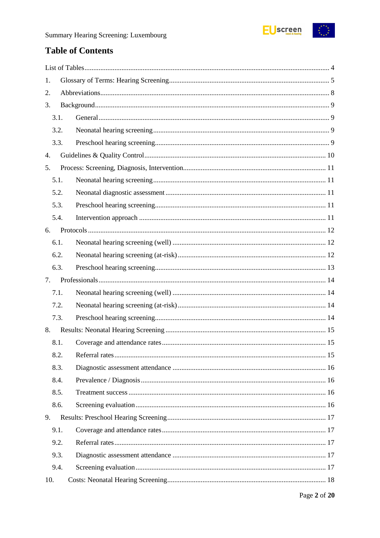

## **Table of Contents**

| 1.   |  |
|------|--|
| 2.   |  |
| 3.   |  |
| 3.1. |  |
| 3.2. |  |
| 3.3. |  |
| 4.   |  |
| 5.   |  |
| 5.1. |  |
| 5.2. |  |
| 5.3. |  |
| 5.4. |  |
| 6.   |  |
| 6.1. |  |
| 6.2. |  |
| 6.3. |  |
| 7.   |  |
| 7.1. |  |
| 7.2. |  |
| 7.3. |  |
| 8.   |  |
| 8.1. |  |
| 8.2. |  |
| 8.3. |  |
| 8.4. |  |
| 8.5. |  |
| 8.6. |  |
| 9.   |  |
| 9.1. |  |
| 9.2. |  |
| 9.3. |  |
| 9.4. |  |
| 10.  |  |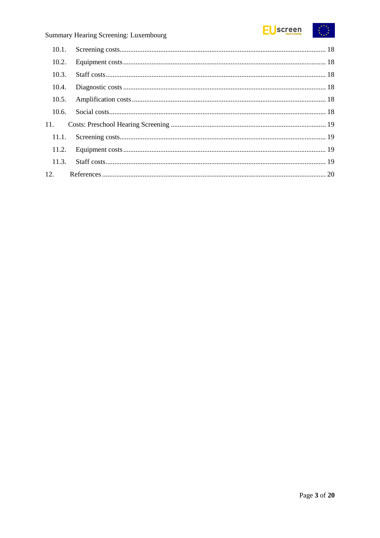

| 10.2. |  |
|-------|--|
| 10.3. |  |
| 10.4. |  |
| 10.5. |  |
| 10.6. |  |
| 11.   |  |
| 11.1. |  |
| 11.2. |  |
| 11.3. |  |
| 12.   |  |
|       |  |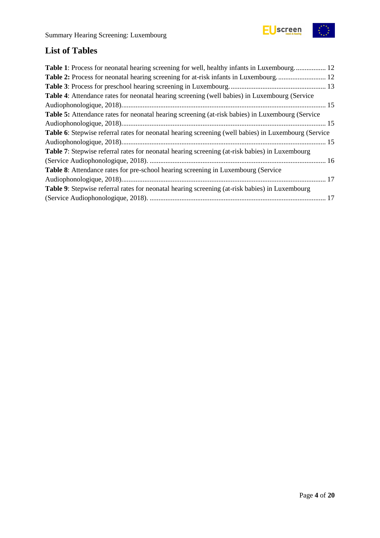



## <span id="page-3-0"></span>**List of Tables**

| <b>Table 1:</b> Process for neonatal hearing screening for well, healthy infants in Luxembourg 12           |  |
|-------------------------------------------------------------------------------------------------------------|--|
| Table 2: Process for neonatal hearing screening for at-risk infants in Luxembourg 12                        |  |
|                                                                                                             |  |
| Table 4: Attendance rates for neonatal hearing screening (well babies) in Luxembourg (Service               |  |
|                                                                                                             |  |
| <b>Table 5:</b> Attendance rates for neonatal hearing screening (at-risk babies) in Luxembourg (Service     |  |
|                                                                                                             |  |
| <b>Table 6:</b> Stepwise referral rates for neonatal hearing screening (well babies) in Luxembourg (Service |  |
|                                                                                                             |  |
| Table 7: Stepwise referral rates for neonatal hearing screening (at-risk babies) in Luxembourg              |  |
|                                                                                                             |  |
| <b>Table 8:</b> Attendance rates for pre-school hearing screening in Luxembourg (Service                    |  |
|                                                                                                             |  |
| Table 9: Stepwise referral rates for neonatal hearing screening (at-risk babies) in Luxembourg              |  |
|                                                                                                             |  |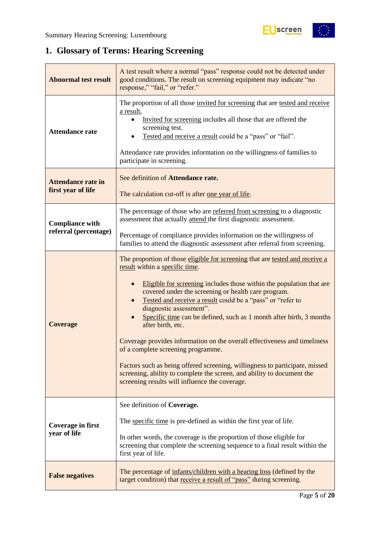$\begin{matrix} \star^{\star} & \star \\ \star & \star \\ \star & \star \end{matrix}$ 

## <span id="page-4-0"></span>**1. Glossary of Terms: Hearing Screening**

| <b>Abnormal test result</b>                     | A test result where a normal "pass" response could not be detected under<br>good conditions. The result on screening equipment may indicate "no<br>response," "fail," or "refer."                                                                                                                                                                                                                                                                                                                                                                                                                                                                                                                                                                                |
|-------------------------------------------------|------------------------------------------------------------------------------------------------------------------------------------------------------------------------------------------------------------------------------------------------------------------------------------------------------------------------------------------------------------------------------------------------------------------------------------------------------------------------------------------------------------------------------------------------------------------------------------------------------------------------------------------------------------------------------------------------------------------------------------------------------------------|
| <b>Attendance rate</b>                          | The proportion of all those invited for screening that are tested and receive<br>a result,<br>Invited for screening includes all those that are offered the<br>screening test.<br>Tested and receive a result could be a "pass" or "fail".<br>Attendance rate provides information on the willingness of families to<br>participate in screening.                                                                                                                                                                                                                                                                                                                                                                                                                |
| <b>Attendance rate in</b><br>first year of life | See definition of Attendance rate.<br>The calculation cut-off is after one year of life.                                                                                                                                                                                                                                                                                                                                                                                                                                                                                                                                                                                                                                                                         |
| <b>Compliance with</b>                          | The percentage of those who are referred from screening to a diagnostic<br>assessment that actually attend the first diagnostic assessment.                                                                                                                                                                                                                                                                                                                                                                                                                                                                                                                                                                                                                      |
| referral (percentage)                           | Percentage of compliance provides information on the willingness of<br>families to attend the diagnostic assessment after referral from screening.                                                                                                                                                                                                                                                                                                                                                                                                                                                                                                                                                                                                               |
| <b>Coverage</b>                                 | The proportion of those eligible for screening that are tested and receive a<br>result within a specific time.<br>Eligible for screening includes those within the population that are<br>covered under the screening or health care program.<br>Tested and receive a result could be a "pass" or "refer to<br>diagnostic assessment".<br>Specific time can be defined, such as 1 month after birth, 3 months<br>after birth, etc.<br>Coverage provides information on the overall effectiveness and timeliness<br>of a complete screening programme.<br>Factors such as being offered screening, willingness to participate, missed<br>screening, ability to complete the screen, and ability to document the<br>screening results will influence the coverage. |
| Coverage in first<br>year of life               | See definition of Coverage.<br>The specific time is pre-defined as within the first year of life.<br>In other words, the coverage is the proportion of those eligible for<br>screening that complete the screening sequence to a final result within the<br>first year of life.                                                                                                                                                                                                                                                                                                                                                                                                                                                                                  |
| <b>False negatives</b>                          | The percentage of infants/children with a hearing loss (defined by the<br>target condition) that receive a result of "pass" during screening.                                                                                                                                                                                                                                                                                                                                                                                                                                                                                                                                                                                                                    |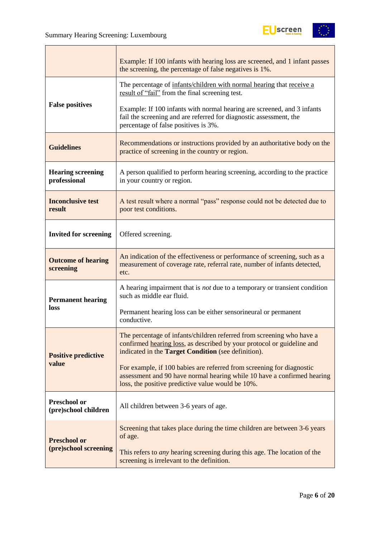$\mathbf{r}$ 



|                                             | Example: If 100 infants with hearing loss are screened, and 1 infant passes<br>the screening, the percentage of false negatives is 1%.                                                                 |
|---------------------------------------------|--------------------------------------------------------------------------------------------------------------------------------------------------------------------------------------------------------|
|                                             | The percentage of infants/children with normal hearing that receive a<br>result of "fail" from the final screening test.                                                                               |
| <b>False positives</b>                      | Example: If 100 infants with normal hearing are screened, and 3 infants<br>fail the screening and are referred for diagnostic assessment, the<br>percentage of false positives is 3%.                  |
| <b>Guidelines</b>                           | Recommendations or instructions provided by an authoritative body on the<br>practice of screening in the country or region.                                                                            |
| <b>Hearing screening</b><br>professional    | A person qualified to perform hearing screening, according to the practice<br>in your country or region.                                                                                               |
| <b>Inconclusive test</b><br>result          | A test result where a normal "pass" response could not be detected due to<br>poor test conditions.                                                                                                     |
| <b>Invited for screening</b>                | Offered screening.                                                                                                                                                                                     |
| <b>Outcome of hearing</b><br>screening      | An indication of the effectiveness or performance of screening, such as a<br>measurement of coverage rate, referral rate, number of infants detected,<br>etc.                                          |
| <b>Permanent hearing</b>                    | A hearing impairment that is not due to a temporary or transient condition<br>such as middle ear fluid.                                                                                                |
| loss                                        | Permanent hearing loss can be either sensorineural or permanent<br>conductive.                                                                                                                         |
| <b>Positive predictive</b>                  | The percentage of infants/children referred from screening who have a<br>confirmed hearing loss, as described by your protocol or guideline and<br>indicated in the Target Condition (see definition). |
| value                                       | For example, if 100 babies are referred from screening for diagnostic<br>assessment and 90 have normal hearing while 10 have a confirmed hearing<br>loss, the positive predictive value would be 10%.  |
| <b>Preschool or</b><br>(pre)school children | All children between 3-6 years of age.                                                                                                                                                                 |
| <b>Preschool or</b>                         | Screening that takes place during the time children are between 3-6 years<br>of age.                                                                                                                   |
| (pre)school screening                       | This refers to <i>any</i> hearing screening during this age. The location of the<br>screening is irrelevant to the definition.                                                                         |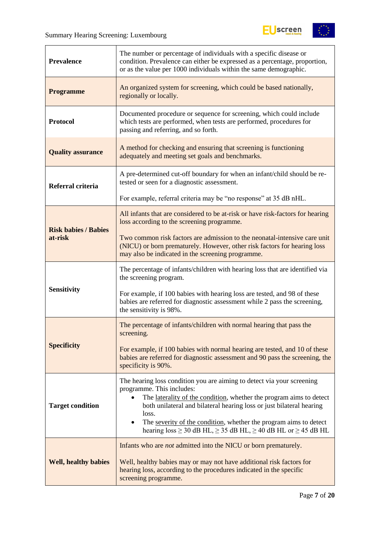

| <b>Prevalence</b>           | The number or percentage of individuals with a specific disease or<br>condition. Prevalence can either be expressed as a percentage, proportion,<br>or as the value per 1000 individuals within the same demographic.                                                                                                                                                                                             |
|-----------------------------|-------------------------------------------------------------------------------------------------------------------------------------------------------------------------------------------------------------------------------------------------------------------------------------------------------------------------------------------------------------------------------------------------------------------|
| <b>Programme</b>            | An organized system for screening, which could be based nationally,<br>regionally or locally.                                                                                                                                                                                                                                                                                                                     |
| <b>Protocol</b>             | Documented procedure or sequence for screening, which could include<br>which tests are performed, when tests are performed, procedures for<br>passing and referring, and so forth.                                                                                                                                                                                                                                |
| <b>Quality assurance</b>    | A method for checking and ensuring that screening is functioning<br>adequately and meeting set goals and benchmarks.                                                                                                                                                                                                                                                                                              |
| Referral criteria           | A pre-determined cut-off boundary for when an infant/child should be re-<br>tested or seen for a diagnostic assessment.                                                                                                                                                                                                                                                                                           |
|                             | For example, referral criteria may be "no response" at 35 dB nHL.                                                                                                                                                                                                                                                                                                                                                 |
| <b>Risk babies / Babies</b> | All infants that are considered to be at-risk or have risk-factors for hearing<br>loss according to the screening programme.                                                                                                                                                                                                                                                                                      |
| at-risk                     | Two common risk factors are admission to the neonatal-intensive care unit<br>(NICU) or born prematurely. However, other risk factors for hearing loss<br>may also be indicated in the screening programme.                                                                                                                                                                                                        |
|                             | The percentage of infants/children with hearing loss that are identified via<br>the screening program.                                                                                                                                                                                                                                                                                                            |
| <b>Sensitivity</b>          | For example, if 100 babies with hearing loss are tested, and 98 of these<br>babies are referred for diagnostic assessment while 2 pass the screening,<br>the sensitivity is 98%.                                                                                                                                                                                                                                  |
|                             | The percentage of infants/children with normal hearing that pass the<br>screening.                                                                                                                                                                                                                                                                                                                                |
| <b>Specificity</b>          | For example, if 100 babies with normal hearing are tested, and 10 of these<br>babies are referred for diagnostic assessment and 90 pass the screening, the<br>specificity is 90%.                                                                                                                                                                                                                                 |
| <b>Target condition</b>     | The hearing loss condition you are aiming to detect via your screening<br>programme. This includes:<br>The laterality of the condition, whether the program aims to detect<br>both unilateral and bilateral hearing loss or just bilateral hearing<br>loss.<br>The severity of the condition, whether the program aims to detect<br>hearing $loss \ge 30$ dB HL, $\ge 35$ dB HL, $\ge 40$ dB HL or $\ge 45$ dB HL |
| <b>Well, healthy babies</b> | Infants who are <i>not</i> admitted into the NICU or born prematurely.<br>Well, healthy babies may or may not have additional risk factors for<br>hearing loss, according to the procedures indicated in the specific<br>screening programme.                                                                                                                                                                     |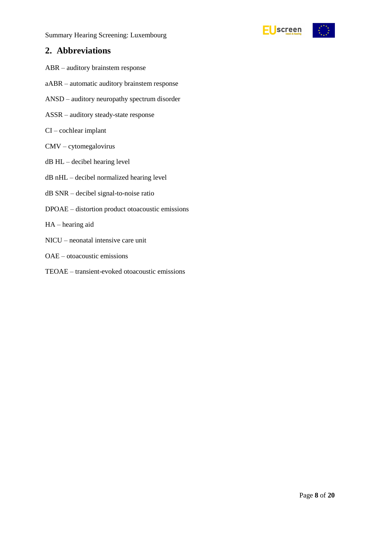

### <span id="page-7-0"></span>**2. Abbreviations**

- ABR auditory brainstem response
- aABR automatic auditory brainstem response
- ANSD auditory neuropathy spectrum disorder
- ASSR auditory steady-state response
- CI cochlear implant
- CMV cytomegalovirus
- dB HL decibel hearing level
- dB nHL decibel normalized hearing level
- dB SNR decibel signal-to-noise ratio
- DPOAE distortion product otoacoustic emissions
- HA hearing aid
- NICU neonatal intensive care unit
- OAE otoacoustic emissions
- TEOAE transient-evoked otoacoustic emissions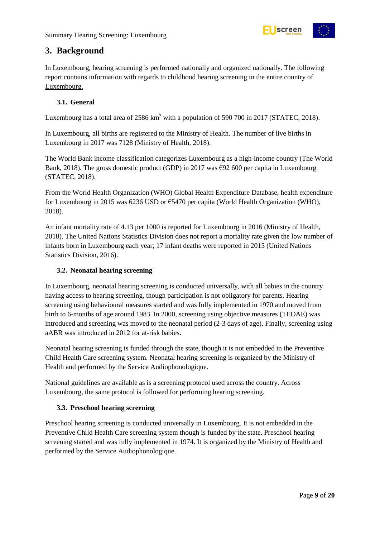

### <span id="page-8-0"></span>**3. Background**

In Luxembourg, hearing screening is performed nationally and organized nationally. The following report contains information with regards to childhood hearing screening in the entire country of Luxembourg.

#### <span id="page-8-1"></span>**3.1. General**

Luxembourg has a total area of 2586 km<sup>2</sup> with a population of 590 700 in 2017 (STATEC, 2018).

In Luxembourg, all births are registered to the Ministry of Health. The number of live births in Luxembourg in 2017 was 7128 (Ministry of Health, 2018).

The World Bank income classification categorizes Luxembourg as a high-income country (The World Bank, 2018). The gross domestic product (GDP) in 2017 was  $\epsilon$ 92 600 per capita in Luxembourg (STATEC, 2018).

From the World Health Organization (WHO) Global Health Expenditure Database, health expenditure for Luxembourg in 2015 was 6236 USD or €5470 per capita (World Health Organization (WHO), 2018).

An infant mortality rate of 4.13 per 1000 is reported for Luxembourg in 2016 (Ministry of Health, 2018). The United Nations Statistics Division does not report a mortality rate given the low number of infants born in Luxembourg each year; 17 infant deaths were reported in 2015 (United Nations Statistics Division, 2016).

#### <span id="page-8-2"></span>**3.2. Neonatal hearing screening**

In Luxembourg, neonatal hearing screening is conducted universally, with all babies in the country having access to hearing screening, though participation is not obligatory for parents. Hearing screening using behavioural measures started and was fully implemented in 1970 and moved from birth to 6-months of age around 1983. In 2000, screening using objective measures (TEOAE) was introduced and screening was moved to the neonatal period (2-3 days of age). Finally, screening using aABR was introduced in 2012 for at-risk babies.

Neonatal hearing screening is funded through the state, though it is not embedded in the Preventive Child Health Care screening system. Neonatal hearing screening is organized by the Ministry of Health and performed by the Service Audiophonologique.

National guidelines are available as is a screening protocol used across the country. Across Luxembourg, the same protocol is followed for performing hearing screening.

#### <span id="page-8-3"></span>**3.3. Preschool hearing screening**

Preschool hearing screening is conducted universally in Luxembourg. It is not embedded in the Preventive Child Health Care screening system though is funded by the state. Preschool hearing screening started and was fully implemented in 1974. It is organized by the Ministry of Health and performed by the Service Audiophonologique.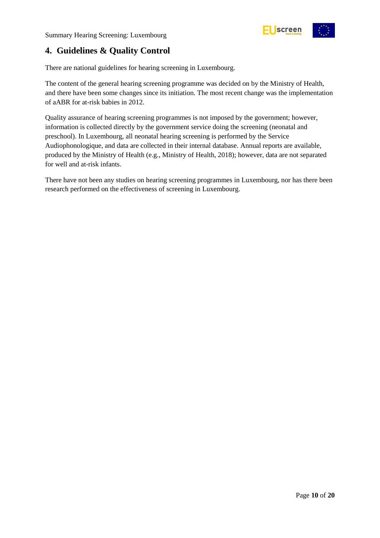

## <span id="page-9-0"></span>**4. Guidelines & Quality Control**

There are national guidelines for hearing screening in Luxembourg.

The content of the general hearing screening programme was decided on by the Ministry of Health, and there have been some changes since its initiation. The most recent change was the implementation of aABR for at-risk babies in 2012.

Quality assurance of hearing screening programmes is not imposed by the government; however, information is collected directly by the government service doing the screening (neonatal and preschool). In Luxembourg, all neonatal hearing screening is performed by the Service Audiophonologique, and data are collected in their internal database. Annual reports are available, produced by the Ministry of Health (e.g., Ministry of Health, 2018); however, data are not separated for well and at-risk infants.

There have not been any studies on hearing screening programmes in Luxembourg, nor has there been research performed on the effectiveness of screening in Luxembourg.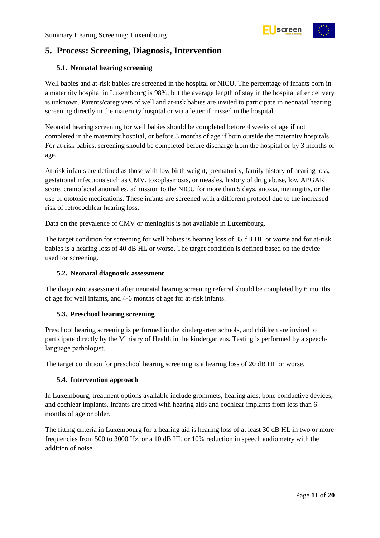

## <span id="page-10-0"></span>**5. Process: Screening, Diagnosis, Intervention**

#### <span id="page-10-1"></span>**5.1. Neonatal hearing screening**

Well babies and at-risk babies are screened in the hospital or NICU. The percentage of infants born in a maternity hospital in Luxembourg is 98%, but the average length of stay in the hospital after delivery is unknown. Parents/caregivers of well and at-risk babies are invited to participate in neonatal hearing screening directly in the maternity hospital or via a letter if missed in the hospital.

Neonatal hearing screening for well babies should be completed before 4 weeks of age if not completed in the maternity hospital, or before 3 months of age if born outside the maternity hospitals. For at-risk babies, screening should be completed before discharge from the hospital or by 3 months of age.

At-risk infants are defined as those with low birth weight, prematurity, family history of hearing loss, gestational infections such as CMV, toxoplasmosis, or measles, history of drug abuse, low APGAR score, craniofacial anomalies, admission to the NICU for more than 5 days, anoxia, meningitis, or the use of ototoxic medications. These infants are screened with a different protocol due to the increased risk of retrocochlear hearing loss.

Data on the prevalence of CMV or meningitis is not available in Luxembourg.

The target condition for screening for well babies is hearing loss of 35 dB HL or worse and for at-risk babies is a hearing loss of 40 dB HL or worse. The target condition is defined based on the device used for screening.

#### <span id="page-10-2"></span>**5.2. Neonatal diagnostic assessment**

The diagnostic assessment after neonatal hearing screening referral should be completed by 6 months of age for well infants, and 4-6 months of age for at-risk infants.

#### <span id="page-10-3"></span>**5.3. Preschool hearing screening**

Preschool hearing screening is performed in the kindergarten schools, and children are invited to participate directly by the Ministry of Health in the kindergartens. Testing is performed by a speechlanguage pathologist.

The target condition for preschool hearing screening is a hearing loss of 20 dB HL or worse.

#### <span id="page-10-4"></span>**5.4. Intervention approach**

In Luxembourg, treatment options available include grommets, hearing aids, bone conductive devices, and cochlear implants. Infants are fitted with hearing aids and cochlear implants from less than 6 months of age or older.

The fitting criteria in Luxembourg for a hearing aid is hearing loss of at least 30 dB HL in two or more frequencies from 500 to 3000 Hz, or a 10 dB HL or 10% reduction in speech audiometry with the addition of noise.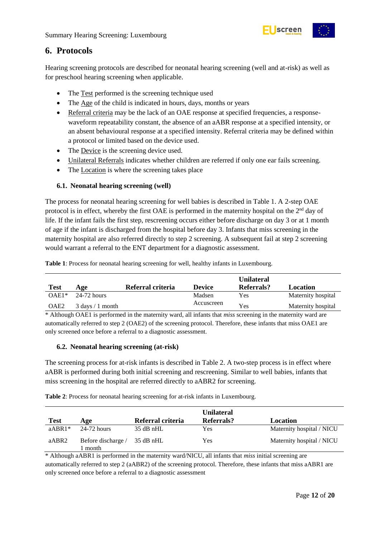

### <span id="page-11-0"></span>**6. Protocols**

Hearing screening protocols are described for neonatal hearing screening (well and at-risk) as well as for preschool hearing screening when applicable.

- The Test performed is the screening technique used
- The Age of the child is indicated in hours, days, months or years
- Referral criteria may be the lack of an OAE response at specified frequencies, a responsewaveform repeatability constant, the absence of an aABR response at a specified intensity, or an absent behavioural response at a specified intensity. Referral criteria may be defined within a protocol or limited based on the device used.
- The Device is the screening device used.
- Unilateral Referrals indicates whether children are referred if only one ear fails screening.
- The Location is where the screening takes place

#### <span id="page-11-1"></span>**6.1. Neonatal hearing screening (well)**

The process for neonatal hearing screening for well babies is described in Table 1. A 2-step OAE protocol is in effect, whereby the first OAE is performed in the maternity hospital on the 2<sup>nd</sup> day of life. If the infant fails the first step, rescreening occurs either before discharge on day 3 or at 1 month of age if the infant is discharged from the hospital before day 3. Infants that miss screening in the maternity hospital are also referred directly to step 2 screening. A subsequent fail at step 2 screening would warrant a referral to the ENT department for a diagnostic assessment.

<span id="page-11-3"></span>**Table 1**: Process for neonatal hearing screening for well, healthy infants in Luxembourg.

| <b>Test</b>      | Age                                | Referral criteria | <b>Device</b> | <b>Unilateral</b><br>Referrals? | Location           |
|------------------|------------------------------------|-------------------|---------------|---------------------------------|--------------------|
| $OAE1*$          | 24-72 hours                        |                   | Madsen        | Yes                             | Maternity hospital |
| OAE <sub>2</sub> | $3 \text{ days} / 1 \text{ month}$ |                   | Accuscreen    | <b>Yes</b>                      | Maternity hospital |

\* Although OAE1 is performed in the maternity ward, all infants that *miss* screening in the maternity ward are automatically referred to step 2 (OAE2) of the screening protocol. Therefore, these infants that miss OAE1 are only screened once before a referral to a diagnostic assessment.

#### <span id="page-11-2"></span>**6.2. Neonatal hearing screening (at-risk)**

The screening process for at-risk infants is described in Table 2. A two-step process is in effect where aABR is performed during both initial screening and rescreening. Similar to well babies, infants that miss screening in the hospital are referred directly to aABR2 for screening.

<span id="page-11-4"></span>**Table 2**: Process for neonatal hearing screening for at-risk infants in Luxembourg.

| <b>Test</b> | Age                         | Referral criteria | <b>Unilateral</b><br>Referrals? | Location                  |
|-------------|-----------------------------|-------------------|---------------------------------|---------------------------|
| $aABR1*$    | $24-72$ hours               | $35$ dB nHL       | Yes                             | Maternity hospital / NICU |
| aABR2       | Before discharge /<br>month | 35 dB nHL         | Yes                             | Maternity hospital / NICU |

\* Although aABR1 is performed in the maternity ward/NICU, all infants that *miss* initial screening are automatically referred to step 2 (aABR2) of the screening protocol. Therefore, these infants that miss aABR1 are only screened once before a referral to a diagnostic assessment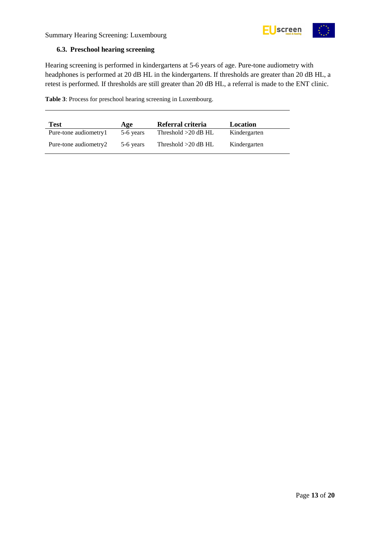

#### <span id="page-12-0"></span>**6.3. Preschool hearing screening**

Hearing screening is performed in kindergartens at 5-6 years of age. Pure-tone audiometry with headphones is performed at 20 dB HL in the kindergartens. If thresholds are greater than 20 dB HL, a retest is performed. If thresholds are still greater than 20 dB HL, a referral is made to the ENT clinic.

<span id="page-12-1"></span>**Table 3**: Process for preschool hearing screening in Luxembourg.

| <b>Test</b>           | Age       | Referral criteria     | Location     |
|-----------------------|-----------|-----------------------|--------------|
| Pure-tone audiometry1 | 5-6 years | Threshold $>20$ dB HL | Kindergarten |
| Pure-tone audiometry2 | 5-6 years | Threshold $>20$ dB HL | Kindergarten |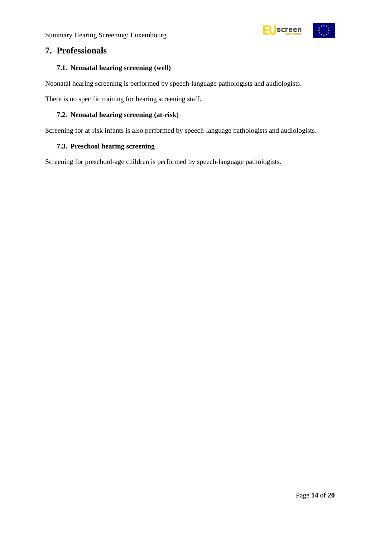

### <span id="page-13-0"></span>**7. Professionals**

#### <span id="page-13-1"></span>**7.1. Neonatal hearing screening (well)**

Neonatal hearing screening is performed by speech-language pathologists and audiologists.

There is no specific training for hearing screening staff.

#### <span id="page-13-2"></span>**7.2. Neonatal hearing screening (at-risk)**

Screening for at-risk infants is also performed by speech-language pathologists and audiologists.

#### <span id="page-13-3"></span>**7.3. Preschool hearing screening**

Screening for preschool-age children is performed by speech-language pathologists.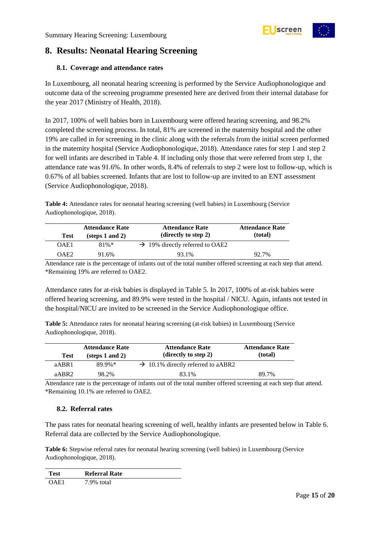

## <span id="page-14-0"></span>**8. Results: Neonatal Hearing Screening**

#### <span id="page-14-1"></span>**8.1. Coverage and attendance rates**

In Luxembourg, all neonatal hearing screening is performed by the Service Audiophonologique and outcome data of the screening programme presented here are derived from their internal database for the year 2017 (Ministry of Health, 2018).

In 2017, 100% of well babies born in Luxembourg were offered hearing screening, and 98.2% completed the screening process. In total, 81% are screened in the maternity hospital and the other 19% are called in for screening in the clinic along with the referrals from the initial screen performed in the maternity hospital (Service Audiophonologique, 2018). Attendance rates for step 1 and step 2 for well infants are described in Table 4. If including only those that were referred from step 1, the attendance rate was 91.6%. In other words, 8.4% of referrals to step 2 were lost to follow-up, which is 0.67% of all babies screened. Infants that are lost to follow-up are invited to an ENT assessment (Service Audiophonologique, 2018).

<span id="page-14-3"></span>**Table 4:** Attendance rates for neonatal hearing screening (well babies) in Luxembourg (Service Audiophonologique, 2018).

| <b>Test</b>      | <b>Attendance Rate</b><br>$(\text{steps } 1 \text{ and } 2)$ | <b>Attendance Rate</b><br>(directly to step 2) | <b>Attendance Rate</b><br>(total) |
|------------------|--------------------------------------------------------------|------------------------------------------------|-----------------------------------|
| OAE1             | $81\%*$                                                      | $\rightarrow$ 19% directly referred to OAE2    |                                   |
| OAE <sub>2</sub> | 91.6%                                                        | 93.1%                                          | 92.7%                             |

Attendance rate is the percentage of infants out of the total number offered screening at each step that attend. \*Remaining 19% are referred to OAE2.

Attendance rates for at-risk babies is displayed in Table 5. In 2017, 100% of at-risk babies were offered hearing screening, and 89.9% were tested in the hospital / NICU. Again, infants not tested in the hospital/NICU are invited to be screened in the Service Audiophonologique office.

<span id="page-14-4"></span>**Table 5:** Attendance rates for neonatal hearing screening (at-risk babies) in Luxembourg (Service Audiophonologique, 2018).

| <b>Test</b>       | <b>Attendance Rate</b><br>$(\text{steps } 1 \text{ and } 2)$ | <b>Attendance Rate</b><br>(directly to step 2) | <b>Attendance Rate</b><br>(total) |
|-------------------|--------------------------------------------------------------|------------------------------------------------|-----------------------------------|
| aABR1             | 89.9%*                                                       | $\rightarrow$ 10.1% directly referred to aABR2 |                                   |
| aABR <sub>2</sub> | 98.2%                                                        | 83.1%                                          | 89.7%                             |

Attendance rate is the percentage of infants out of the total number offered screening at each step that attend. \*Remaining 10.1% are referred to OAE2.

#### <span id="page-14-2"></span>**8.2. Referral rates**

The pass rates for neonatal hearing screening of well, healthy infants are presented below in Table 6. Referral data are collected by the Service Audiophonologique.

<span id="page-14-5"></span>**Table 6:** Stepwise referral rates for neonatal hearing screening (well babies) in Luxembourg (Service Audiophonologique, 2018).

| <b>Test</b> | <b>Referral Rate</b> |
|-------------|----------------------|
| OAE1        | 7.9% total           |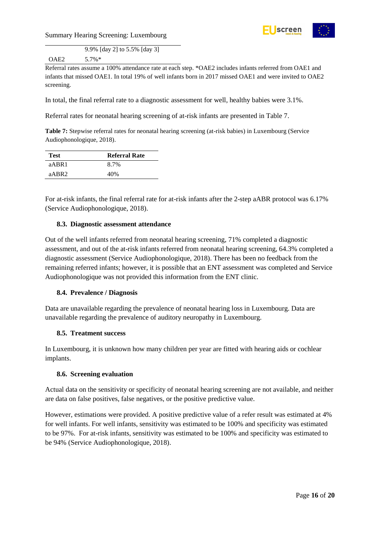



9.9% [day 2] to 5.5% [day 3] OAE2 5.7%\*

Referral rates assume a 100% attendance rate at each step. \*OAE2 includes infants referred from OAE1 and infants that missed OAE1. In total 19% of well infants born in 2017 missed OAE1 and were invited to OAE2 screening.

In total, the final referral rate to a diagnostic assessment for well, healthy babies were 3.1%.

Referral rates for neonatal hearing screening of at-risk infants are presented in Table 7.

<span id="page-15-4"></span>**Table 7:** Stepwise referral rates for neonatal hearing screening (at-risk babies) in Luxembourg (Service Audiophonologique, 2018).

| Test              | <b>Referral Rate</b> |
|-------------------|----------------------|
| aABR1             | 8.7%                 |
| aABR <sub>2</sub> | 40%                  |

For at-risk infants, the final referral rate for at-risk infants after the 2-step aABR protocol was 6.17% (Service Audiophonologique, 2018).

#### <span id="page-15-0"></span>**8.3. Diagnostic assessment attendance**

Out of the well infants referred from neonatal hearing screening, 71% completed a diagnostic assessment, and out of the at-risk infants referred from neonatal hearing screening, 64.3% completed a diagnostic assessment (Service Audiophonologique, 2018). There has been no feedback from the remaining referred infants; however, it is possible that an ENT assessment was completed and Service Audiophonologique was not provided this information from the ENT clinic.

#### <span id="page-15-1"></span>**8.4. Prevalence / Diagnosis**

Data are unavailable regarding the prevalence of neonatal hearing loss in Luxembourg. Data are unavailable regarding the prevalence of auditory neuropathy in Luxembourg.

#### <span id="page-15-2"></span>**8.5. Treatment success**

In Luxembourg, it is unknown how many children per year are fitted with hearing aids or cochlear implants.

#### <span id="page-15-3"></span>**8.6. Screening evaluation**

Actual data on the sensitivity or specificity of neonatal hearing screening are not available, and neither are data on false positives, false negatives, or the positive predictive value.

However, estimations were provided. A positive predictive value of a refer result was estimated at 4% for well infants. For well infants, sensitivity was estimated to be 100% and specificity was estimated to be 97%. For at-risk infants, sensitivity was estimated to be 100% and specificity was estimated to be 94% (Service Audiophonologique, 2018).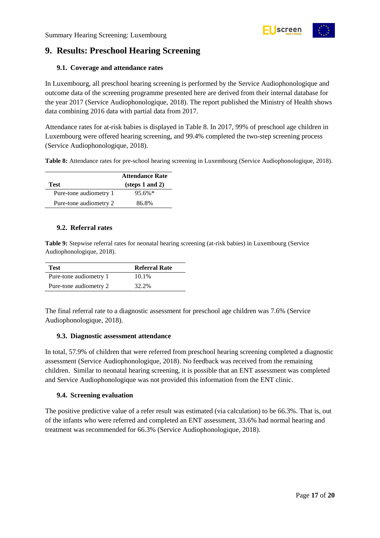## <span id="page-16-0"></span>**9. Results: Preschool Hearing Screening**

#### <span id="page-16-1"></span>**9.1. Coverage and attendance rates**

In Luxembourg, all preschool hearing screening is performed by the Service Audiophonologique and outcome data of the screening programme presented here are derived from their internal database for the year 2017 (Service Audiophonologique, 2018). The report published the Ministry of Health shows data combining 2016 data with partial data from 2017.

Attendance rates for at-risk babies is displayed in Table 8. In 2017, 99% of preschool age children in Luxembourg were offered hearing screening, and 99.4% completed the two-step screening process (Service Audiophonologique, 2018).

<span id="page-16-5"></span>**Table 8:** Attendance rates for pre-school hearing screening in Luxembourg (Service Audiophonologique, 2018).

|                        | <b>Attendance Rate</b>             |
|------------------------|------------------------------------|
| Test                   | $(\text{steps } 1 \text{ and } 2)$ |
| Pure-tone audiometry 1 | $95.6\%*$                          |
| Pure-tone audiometry 2 | 86.8%                              |

#### <span id="page-16-2"></span>**9.2. Referral rates**

<span id="page-16-6"></span>**Table 9:** Stepwise referral rates for neonatal hearing screening (at-risk babies) in Luxembourg (Service Audiophonologique, 2018).

| <b>Test</b>            | <b>Referral Rate</b> |
|------------------------|----------------------|
| Pure-tone audiometry 1 | 10.1%                |
| Pure-tone audiometry 2 | 32.2%                |

The final referral rate to a diagnostic assessment for preschool age children was 7.6% (Service Audiophonologique, 2018).

#### <span id="page-16-3"></span>**9.3. Diagnostic assessment attendance**

In total, 57.9% of children that were referred from preschool hearing screening completed a diagnostic assessment (Service Audiophonologique, 2018). No feedback was received from the remaining children. Similar to neonatal hearing screening, it is possible that an ENT assessment was completed and Service Audiophonologique was not provided this information from the ENT clinic.

#### <span id="page-16-4"></span>**9.4. Screening evaluation**

The positive predictive value of a refer result was estimated (via calculation) to be 66.3%. That is, out of the infants who were referred and completed an ENT assessment, 33.6% had normal hearing and treatment was recommended for 66.3% (Service Audiophonologique, 2018).



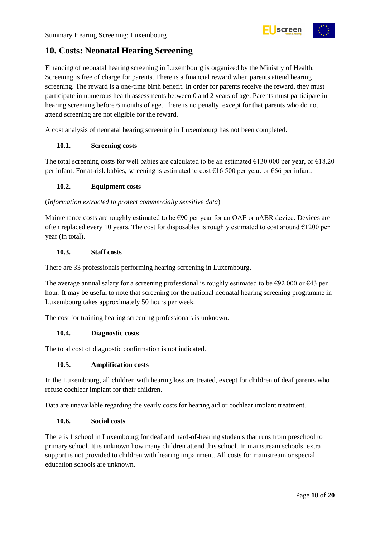

## <span id="page-17-0"></span>**10. Costs: Neonatal Hearing Screening**

Financing of neonatal hearing screening in Luxembourg is organized by the Ministry of Health. Screening is free of charge for parents. There is a financial reward when parents attend hearing screening. The reward is a one-time birth benefit. In order for parents receive the reward, they must participate in numerous health assessments between 0 and 2 years of age. Parents must participate in hearing screening before 6 months of age. There is no penalty, except for that parents who do not attend screening are not eligible for the reward.

A cost analysis of neonatal hearing screening in Luxembourg has not been completed.

#### <span id="page-17-1"></span>**10.1. Screening costs**

The total screening costs for well babies are calculated to be an estimated  $\epsilon$ 130 000 per year, or  $\epsilon$ 18.20 per infant. For at-risk babies, screening is estimated to cost  $\epsilon$ 16 500 per year, or  $\epsilon$ 66 per infant.

#### <span id="page-17-2"></span>**10.2. Equipment costs**

#### (*Information extracted to protect commercially sensitive data*)

Maintenance costs are roughly estimated to be €90 per year for an OAE or aABR device. Devices are often replaced every 10 years. The cost for disposables is roughly estimated to cost around  $\epsilon$ 1200 per year (in total).

#### <span id="page-17-3"></span>**10.3. Staff costs**

There are 33 professionals performing hearing screening in Luxembourg.

The average annual salary for a screening professional is roughly estimated to be  $\epsilon$ 92 000 or  $\epsilon$ 43 per hour. It may be useful to note that screening for the national neonatal hearing screening programme in Luxembourg takes approximately 50 hours per week.

The cost for training hearing screening professionals is unknown.

#### <span id="page-17-4"></span>**10.4. Diagnostic costs**

The total cost of diagnostic confirmation is not indicated.

#### <span id="page-17-5"></span>**10.5. Amplification costs**

In the Luxembourg, all children with hearing loss are treated, except for children of deaf parents who refuse cochlear implant for their children.

Data are unavailable regarding the yearly costs for hearing aid or cochlear implant treatment.

#### <span id="page-17-6"></span>**10.6. Social costs**

There is 1 school in Luxembourg for deaf and hard-of-hearing students that runs from preschool to primary school. It is unknown how many children attend this school. In mainstream schools, extra support is not provided to children with hearing impairment. All costs for mainstream or special education schools are unknown.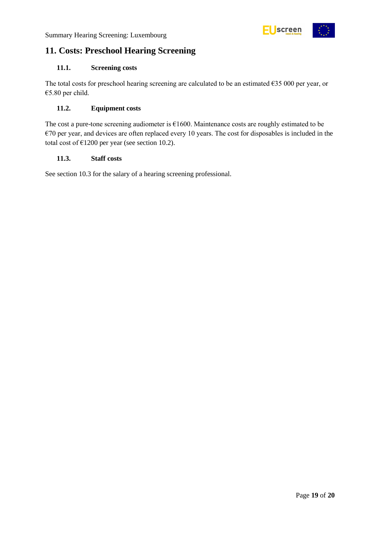

## <span id="page-18-0"></span>**11. Costs: Preschool Hearing Screening**

#### <span id="page-18-1"></span>**11.1. Screening costs**

The total costs for preschool hearing screening are calculated to be an estimated €35 000 per year, or €5.80 per child.

#### <span id="page-18-2"></span>**11.2. Equipment costs**

The cost a pure-tone screening audiometer is €1600. Maintenance costs are roughly estimated to be  $€70$  per year, and devices are often replaced every 10 years. The cost for disposables is included in the total cost of  $\text{\textsterling}1200$  per year (see section 10.2).

#### <span id="page-18-3"></span>**11.3. Staff costs**

See section 10.3 for the salary of a hearing screening professional.